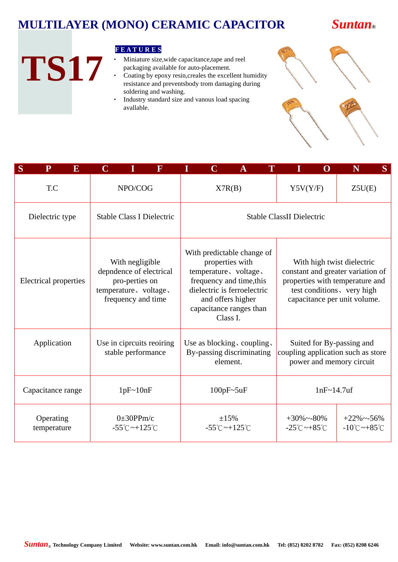

#### **F E A T U R E S**

- Miniature size, wide capacitance, tape and reel packaging available for auto-placement.
- ‧ Coating by epoxy resin,creales the excellent humidity resistance and preventsbody trom damaging during soldering and washing.
- ‧ Industry standard size and vanous load spacing avallable.

| ISH | 225 |
|-----|-----|

| S<br>$\mathbf{P}$<br>$\overline{\mathbf{E}}$ | $\mathbf C$                                                                                                 |                                                       | F                         |                                  | $\mathbf C$                                                                                                                                                                                                                                                                                                                                                       | A                                                                   |  |                                                                                             | $\mathbf 0$ | N             | S                                                  |
|----------------------------------------------|-------------------------------------------------------------------------------------------------------------|-------------------------------------------------------|---------------------------|----------------------------------|-------------------------------------------------------------------------------------------------------------------------------------------------------------------------------------------------------------------------------------------------------------------------------------------------------------------------------------------------------------------|---------------------------------------------------------------------|--|---------------------------------------------------------------------------------------------|-------------|---------------|----------------------------------------------------|
| T.C                                          | NPO/COG                                                                                                     |                                                       |                           |                                  |                                                                                                                                                                                                                                                                                                                                                                   | X7R(B)                                                              |  | Y5V(Y/F)<br>Z5U(E)                                                                          |             |               |                                                    |
| Dielectric type                              |                                                                                                             | Stable Class I Dielectric                             |                           | <b>Stable ClassII Dielectric</b> |                                                                                                                                                                                                                                                                                                                                                                   |                                                                     |  |                                                                                             |             |               |                                                    |
| Electrical properties                        | With negligible<br>depndence of electrical<br>pro-perties on<br>temperature, voltage,<br>frequency and time |                                                       |                           |                                  | With predictable change of<br>properties with<br>With high twist dielectric<br>temperature, voltage,<br>constant and greater variation of<br>frequency and time, this<br>properties with temperature and<br>dielectric is ferroelectric<br>test conditions, very high<br>and offers higher<br>capacitance per unit volume.<br>capacitance ranges than<br>Class I. |                                                                     |  |                                                                                             |             |               |                                                    |
| Application                                  |                                                                                                             | stable performance                                    | Use in ciprcuits reoiring |                                  |                                                                                                                                                                                                                                                                                                                                                                   | Use as blocking, coupling,<br>By-passing discriminating<br>element. |  | Suited for By-passing and<br>coupling application such as store<br>power and memory circuit |             |               |                                                    |
| Capacitance range                            |                                                                                                             | 1pF~10nF                                              |                           | $100pF - 5uF$                    |                                                                                                                                                                                                                                                                                                                                                                   |                                                                     |  |                                                                                             |             | $1nF~14.7$ uf |                                                    |
| Operating<br>temperature                     |                                                                                                             | $0\pm 30$ PPm/c<br>$-55^{\circ}$ C ~ $+125^{\circ}$ C |                           |                                  |                                                                                                                                                                                                                                                                                                                                                                   | $\pm 15\%$<br>$-55^{\circ}$ C ~ $+125^{\circ}$ C                    |  | $+30\%$ ~-80%<br>$-25^{\circ}$ C ~ $+85^{\circ}$ C                                          |             |               | $+22\%$ ~-56%<br>$-10^{\circ}$ C ~ $+85^{\circ}$ C |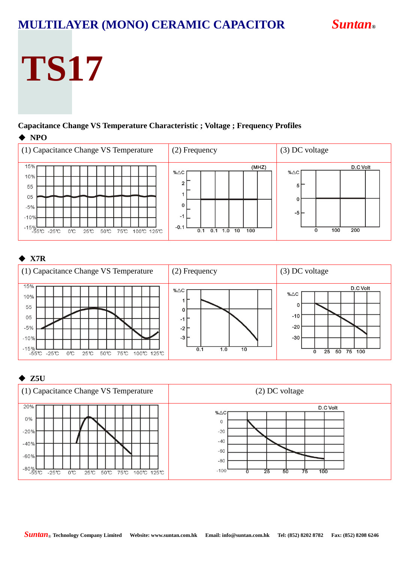# **TS17**

#### **Capacitance Change VS Temperature Characteristic ; Voltage ; Frequency Profiles**  ◆ **NPO**



#### ◆ **X7R**



#### ◆ **Z5U**

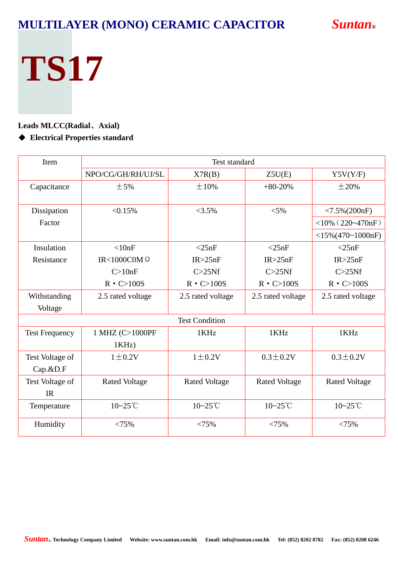# **TS17**

#### **Leads MLCC(Radial**、**Axial)**

#### ◆ Electrical Properties standard

| Item                  |                      | <b>Test standard</b>  |                      |                      |  |  |  |  |  |
|-----------------------|----------------------|-----------------------|----------------------|----------------------|--|--|--|--|--|
|                       | NPO/CG/GH/RH/UJ/SL   | X7R(B)                | Z5U(E)               | Y5V(Y/F)             |  |  |  |  |  |
| Capacitance           | $\pm$ 5%             | $\pm 10\%$            | $+80-20%$            | $\pm 20\%$           |  |  |  |  |  |
|                       |                      |                       |                      |                      |  |  |  |  |  |
| Dissipation           | < 0.15%              | $<3.5\%$              | $< 5\%$              | $< 7.5\% (200nF)$    |  |  |  |  |  |
| Factor                |                      |                       |                      | $<$ 10% (220~470nF)  |  |  |  |  |  |
|                       |                      |                       |                      | $<$ 15%(470~1000nF)  |  |  |  |  |  |
| Insulation            | < 10nF               | $<$ 25nF              | $<$ 25nF             | $<$ 25nF             |  |  |  |  |  |
| Resistance            | IR<1000C0M $\Omega$  | IR > 25nF             | IR > 25nF            | IR > 25nF            |  |  |  |  |  |
|                       | C>10nF               | C > 25Nf              | C > 25Nf             | C > 25Nf             |  |  |  |  |  |
|                       | $R \cdot C > 100S$   | $R \cdot C > 100S$    | $R \cdot C > 100S$   | $R \cdot C > 100S$   |  |  |  |  |  |
| Withstanding          | 2.5 rated voltage    | 2.5 rated voltage     | 2.5 rated voltage    | 2.5 rated voltage    |  |  |  |  |  |
| Voltage               |                      |                       |                      |                      |  |  |  |  |  |
|                       |                      | <b>Test Condition</b> |                      |                      |  |  |  |  |  |
| <b>Test Frequency</b> | 1 MHZ (C>1000PF      | 1KHz                  | 1KHz                 | 1KHz                 |  |  |  |  |  |
|                       | 1KHz                 |                       |                      |                      |  |  |  |  |  |
| Test Voltage of       | $1 \pm 0.2V$         | $1 \pm 0.2V$          | $0.3 \pm 0.2 V$      | $0.3 \pm 0.2V$       |  |  |  |  |  |
| $Cap.\&D.F$           |                      |                       |                      |                      |  |  |  |  |  |
| Test Voltage of       | <b>Rated Voltage</b> | <b>Rated Voltage</b>  | <b>Rated Voltage</b> | <b>Rated Voltage</b> |  |  |  |  |  |
| <b>IR</b>             |                      |                       |                      |                      |  |  |  |  |  |
| Temperature           | $10 - 25$ °C         | 10~25°C               | $10 - 25$ °C         | $10 - 25$ °C         |  |  |  |  |  |
| Humidity              | < 75%                | < 75%                 | < 75%                | < 75%                |  |  |  |  |  |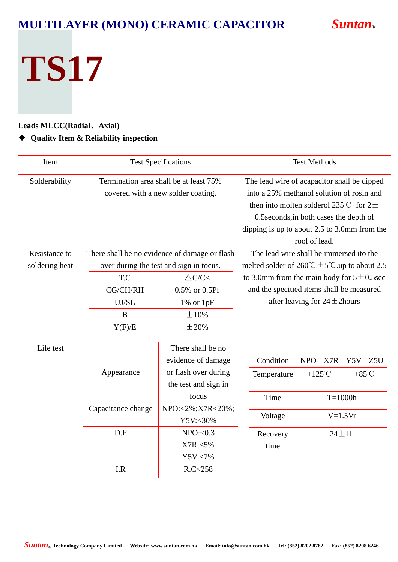# **TS17**

#### **Leads MLCC(Radial**、**Axial)**

#### ◆ **Quality Item & Reliability inspection**

| Item           |                                        | <b>Test Specifications</b>                    | <b>Test Methods</b> |                                                                              |               |             |                 |     |  |
|----------------|----------------------------------------|-----------------------------------------------|---------------------|------------------------------------------------------------------------------|---------------|-------------|-----------------|-----|--|
| Solderability  | Termination area shall be at least 75% |                                               |                     | The lead wire of acapacitor shall be dipped                                  |               |             |                 |     |  |
|                |                                        | covered with a new solder coating.            |                     | into a 25% methanol solution of rosin and                                    |               |             |                 |     |  |
|                |                                        |                                               |                     | then into molten solderol 235°C for $2\pm$                                   |               |             |                 |     |  |
|                |                                        |                                               |                     | 0.5 seconds, in both cases the depth of                                      |               |             |                 |     |  |
|                |                                        |                                               |                     | dipping is up to about $2.5$ to $3.0$ mm from the                            |               |             |                 |     |  |
|                |                                        |                                               |                     |                                                                              | rool of lead. |             |                 |     |  |
| Resistance to  |                                        | There shall be no evidence of damage or flash |                     | The lead wire shall be immersed ito the                                      |               |             |                 |     |  |
| soldering heat |                                        | over during the test and sign in tocus.       |                     | melted solder of $260^{\circ}\text{C} \pm 5^{\circ}\text{C}$ up to about 2.5 |               |             |                 |     |  |
|                | T.C                                    | $\triangle C/C$                               |                     | to 3.0mm from the main body for $5\pm0.5\text{sec}$                          |               |             |                 |     |  |
|                | CG/CH/RH                               | 0.5% or 0.5Pf                                 |                     | and the specitied items shall be measured                                    |               |             |                 |     |  |
|                | UJ/SL<br>$1\%$ or $1pF$<br>±10%<br>B   |                                               |                     | after leaving for $24 \pm 2$ hours                                           |               |             |                 |     |  |
|                |                                        |                                               |                     |                                                                              |               |             |                 |     |  |
|                | Y(F)/E                                 | $\pm 20\%$                                    |                     |                                                                              |               |             |                 |     |  |
|                |                                        |                                               |                     |                                                                              |               |             |                 |     |  |
| Life test      |                                        | There shall be no                             |                     |                                                                              |               |             |                 |     |  |
|                |                                        | evidence of damage                            |                     | Condition                                                                    | <b>NPO</b>    | X7R         | Y5V             | Z5U |  |
|                | Appearance                             | or flash over during                          |                     | Temperature                                                                  | +125 $°C$     |             | $+85^{\circ}$ C |     |  |
|                |                                        | the test and sign in                          |                     |                                                                              |               |             |                 |     |  |
|                |                                        | focus                                         |                     | Time                                                                         |               | $T=1000h$   |                 |     |  |
|                | Capacitance change                     | NPO:<2%;X7R<20%;                              |                     | Voltage                                                                      | $V=1.5Vr$     |             |                 |     |  |
|                | Y5V:<30%<br>D.F<br>NPO: < 0.3          |                                               |                     |                                                                              |               |             |                 |     |  |
|                |                                        |                                               |                     | Recovery                                                                     |               | $24 \pm 1h$ |                 |     |  |
|                |                                        | $X7R: <5\%$                                   |                     | time                                                                         |               |             |                 |     |  |
|                |                                        | Y5V:<7%                                       |                     |                                                                              |               |             |                 |     |  |
|                | I.R                                    | R.C < 258                                     |                     |                                                                              |               |             |                 |     |  |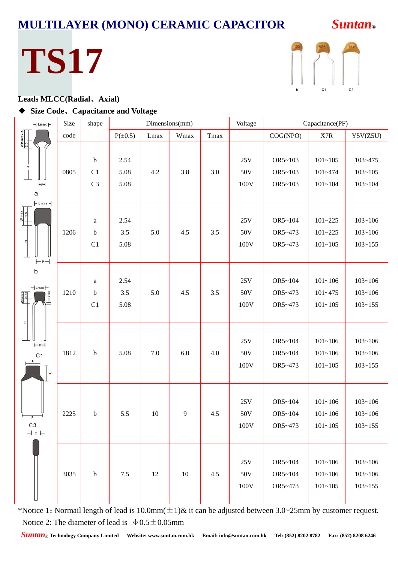## **TS17**



#### **Leads MLCC(Radial**、**Axial)**

#### ◆ **Size Code**、**Capacitance and Voltage**

| $-1$ Lmax $\vdash$                                                                            | Size | shape                                     | Dimensions(mm)       |      |      | Voltage | Capacitance(PF)                 |                               |                                           |                                           |
|-----------------------------------------------------------------------------------------------|------|-------------------------------------------|----------------------|------|------|---------|---------------------------------|-------------------------------|-------------------------------------------|-------------------------------------------|
| $\frac{Wmax+2.5}{2.5}$                                                                        | code |                                           | $P(\pm 0.5)$         | Lmax | Wmax | Tmax    |                                 | COG(NPO)                      | $\ensuremath{\text{X7R}}\xspace$          | Y5V(Z5U)                                  |
| $\frac{1}{1}$<br>H <sub>P</sub><br>a                                                          | 0805 | $\mathbf b$<br>C1<br>C <sub>3</sub>       | 2.54<br>5.08<br>5.08 | 4.2  | 3.8  | 3.0     | 25V<br>50V<br>100V              | OR5~103<br>OR5~103<br>OR5~103 | $101 - 105$<br>$101 - 474$<br>$101 - 104$ | 103~475<br>$103 - 105$<br>$103 - 104$     |
| $\vdash$ Lmax $\vdash$<br>$W_{\text{max}}$<br>피<br>$\vdash$ P $\neg$                          | 1206 | $\rm{a}$<br>$\mathbf b$<br>C1             | 2.54<br>3.5<br>5.08  | 5.0  | 4.5  | 3.5     | 25V<br>50V<br>100V              | OR5~104<br>OR5~473<br>OR5~473 | $101 - 225$<br>$101 - 225$<br>$101 - 105$ | $103 - 106$<br>$103 - 106$<br>$103 - 155$ |
| b<br>$-\Box$ Lmax $\vdash$<br>$1 + 0.05$<br>$\begin{array}{c}\nWmnax+2 \\ 1&0.2\n\end{array}$ | 1210 | $\rm{a}$<br>$\mathbf b$<br>C <sub>1</sub> | 2.54<br>3.5<br>5.08  | 5.0  | 4.5  | 3.5     | 25V<br>50V<br>100V              | OR5~104<br>OR5~473<br>OR5~473 | $101 - 106$<br>$101 - 475$<br>$101 - 105$ | $103 - 106$<br>$103 - 106$<br>$103 - 155$ |
| ×.<br>$\vdash P \dashv$<br>C <sub>1</sub><br>D<br>${\sf W}$                                   | 1812 | $\mathbf b$                               | 5.08                 | 7.0  | 6.0  | 4.0     | 25V<br>50V<br>100V              | OR5~104<br>OR5~104<br>OR5~473 | $101 - 106$<br>$101 - 106$<br>$101 - 105$ | $103 - 106$<br>$103 - 106$<br>$103 - 155$ |
| C <sub>3</sub><br>$+$ T $+$                                                                   | 2225 | b                                         | 5.5                  | 10   | 9    | 4.5     | 25V<br>50V<br>100V              | OR5~104<br>OR5~104<br>OR5~473 | $101 - 106$<br>$101 - 106$<br>$101 - 105$ | $103 - 106$<br>$103 - 106$<br>$103 - 155$ |
|                                                                                               | 3035 | $\mathbf b$                               | 7.5                  | 12   | 10   | 4.5     | $25\mathrm{V}$<br>50V<br>$100V$ | OR5~104<br>OR5~104<br>OR5~473 | $101 - 106$<br>$101 - 106$<br>$101 - 105$ | $103 - 106$<br>$103 - 106$<br>$103 - 155$ |

\*Notice 1: Normail length of lead is 10.0mm( $\pm$ 1)& it can be adjusted between 3.0~25mm by customer request. Notice 2: The diameter of lead is  $\phi$  0.5 ± 0.05mm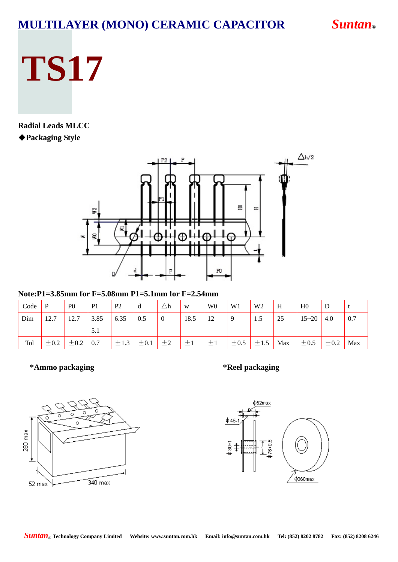# **TS17**

#### **Radial Leads MLCC** ◆**Packaging Style**



**Note:P1=3.85mm for F=5.08mm P1=5.1mm for F=2.54mm** 

| Code | P         | P <sub>0</sub> | P <sub>1</sub> | P <sub>2</sub> | d         | $\triangle \text{h}$ | W       | W <sub>0</sub> | W1        | W <sub>2</sub> | H   | H <sub>0</sub>   | D         |     |
|------|-----------|----------------|----------------|----------------|-----------|----------------------|---------|----------------|-----------|----------------|-----|------------------|-----------|-----|
| Dim  | 12.7      | 12.7           | 3.85           | 6.35           | 0.5       | $\overline{0}$       | 18.5    | 12             |           | 1.5            | 25  | $15 \sim 20$ 4.0 |           | 0.7 |
|      |           |                | 5.1            |                |           |                      |         |                |           |                |     |                  |           |     |
| Tol  | $\pm 0.2$ | $\pm 0.2$      | 0.7            | $\pm 1.3$      | $\pm 0.1$ | $\pm 2$              | $\pm 1$ | $\pm 1$        | $\pm 0.5$ | $\pm 1.5$      | Max | $\pm 0.5$        | $\pm 0.2$ | Max |

**\*Ammo packaging \*Reel packaging** 



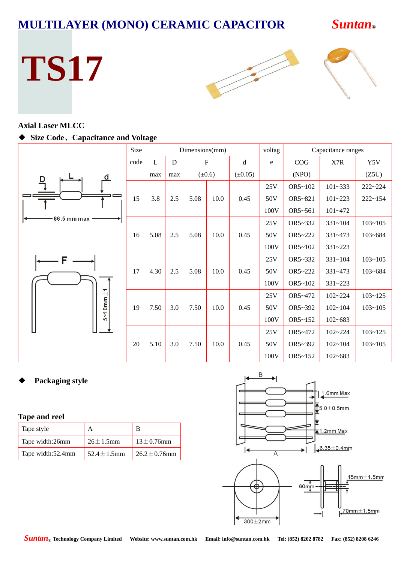



#### **Axial Laser MLCC**

#### ◆ **Size Code**、**Capacitance and Voltage**

|                     | Size |      |     | Dimensions(mm) |             |              | voltag |         | Capacitance ranges |             |
|---------------------|------|------|-----|----------------|-------------|--------------|--------|---------|--------------------|-------------|
|                     | code | L    | D   | $\mathbf F$    |             | d            | e      | COG     | X7R                | Y5V         |
| d                   |      | max  | max |                | $(\pm 0.6)$ | $(\pm 0.05)$ |        | (NPO)   |                    | (Z5U)       |
|                     |      |      |     |                |             |              | 25V    | OR5~102 | $101 - 333$        | 222~224     |
|                     | 15   | 3.8  | 2.5 | 5.08           | 10.0        | 0.45         | 50V    | OR5~821 | $101 - 223$        | $222 - 154$ |
|                     |      |      |     |                |             |              | 100V   | OR5~561 | $101 - 472$        |             |
| 66.5 mm max         |      |      |     |                |             |              | 25V    | OR5~332 | $331 - 104$        | $103 - 105$ |
|                     | 16   | 5.08 | 2.5 | 5.08           | 10.0        | 0.45         | 50V    | OR5~222 | $331 - 473$        | $103 - 684$ |
|                     |      |      |     |                |             |              | 100V   | OR5~102 | $331 - 223$        |             |
|                     |      |      |     |                |             |              | 25V    | OR5~332 | $331 - 104$        | $103 - 105$ |
|                     | 17   | 4.30 | 2.5 | 5.08           | 10.0        | 0.45         | 50V    | OR5~222 | 331~473            | $103 - 684$ |
|                     |      |      |     |                |             |              | 100V   | OR5~102 | $331 - 223$        |             |
| $5 - 10$ mm $\pm 1$ |      |      |     |                |             |              | 25V    | OR5~472 | $102 - 224$        | $103 - 125$ |
|                     | 19   | 7.50 | 3.0 | 7.50           | 10.0        | 0.45         | 50V    | OR5~392 | $102 - 104$        | $103 - 105$ |
|                     |      |      |     |                |             |              | 100V   | OR5~152 | $102 - 683$        |             |
|                     |      |      |     |                |             |              | 25V    | OR5~472 | $102 - 224$        | $103 - 125$ |
|                     | 20   | 5.10 | 3.0 | 7.50           | 10.0        | 0.45         | 50V    | OR5~392 | $102 - 104$        | $103 - 105$ |
|                     |      |      |     |                |             |              | 100V   | OR5~152 | $102 - 683$        |             |

#### ◆ **Packaging style**

#### **Tape and reel**

| Tape style        |                  |                    |
|-------------------|------------------|--------------------|
| Tape width:26mm   | $26 \pm 1.5$ mm  | $13 \pm 0.76$ mm   |
| Tape width:52.4mm | 52.4 $\pm$ 1.5mm | $26.2 \pm 0.76$ mm |